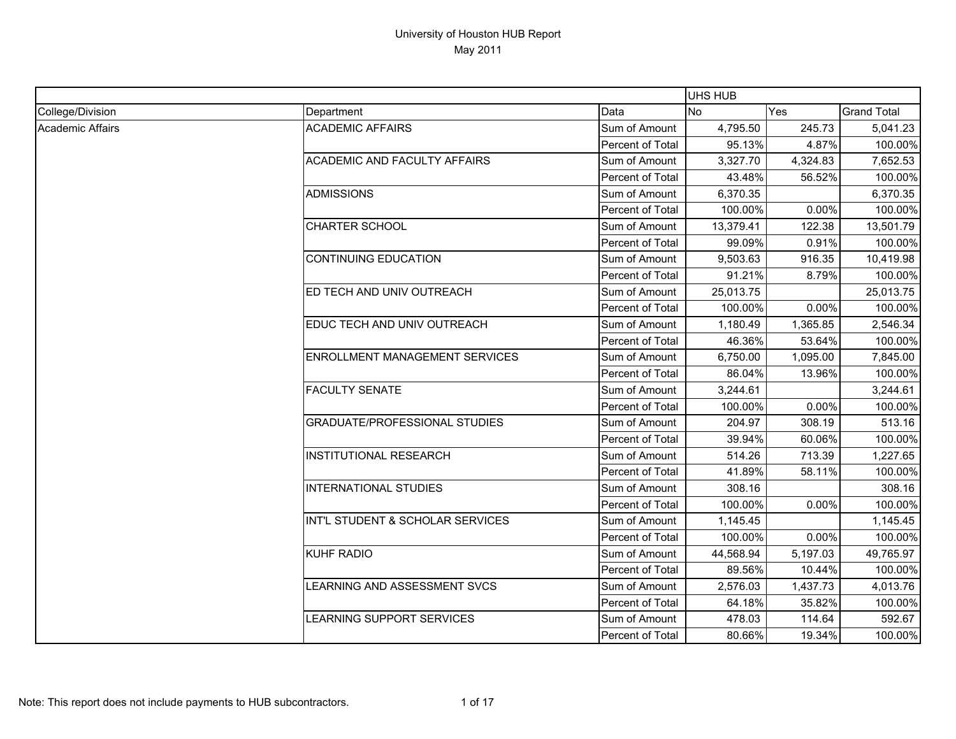|                  |                                       |                  | <b>UHS HUB</b> |          |                    |
|------------------|---------------------------------------|------------------|----------------|----------|--------------------|
| College/Division | Department                            | Data             | <b>No</b>      | Yes      | <b>Grand Total</b> |
| Academic Affairs | <b>ACADEMIC AFFAIRS</b>               | Sum of Amount    | 4,795.50       | 245.73   | 5,041.23           |
|                  |                                       | Percent of Total | 95.13%         | 4.87%    | 100.00%            |
|                  | <b>ACADEMIC AND FACULTY AFFAIRS</b>   | Sum of Amount    | 3,327.70       | 4,324.83 | 7,652.53           |
|                  |                                       | Percent of Total | 43.48%         | 56.52%   | 100.00%            |
|                  | <b>ADMISSIONS</b>                     | Sum of Amount    | 6,370.35       |          | 6,370.35           |
|                  |                                       | Percent of Total | 100.00%        | 0.00%    | 100.00%            |
|                  | <b>CHARTER SCHOOL</b>                 | Sum of Amount    | 13,379.41      | 122.38   | 13,501.79          |
|                  |                                       | Percent of Total | 99.09%         | 0.91%    | 100.00%            |
|                  | <b>CONTINUING EDUCATION</b>           | Sum of Amount    | 9,503.63       | 916.35   | 10,419.98          |
|                  |                                       | Percent of Total | 91.21%         | 8.79%    | 100.00%            |
|                  | ED TECH AND UNIV OUTREACH             | Sum of Amount    | 25,013.75      |          | 25,013.75          |
|                  |                                       | Percent of Total | 100.00%        | 0.00%    | 100.00%            |
|                  | EDUC TECH AND UNIV OUTREACH           | Sum of Amount    | 1,180.49       | 1,365.85 | 2,546.34           |
|                  |                                       | Percent of Total | 46.36%         | 53.64%   | 100.00%            |
|                  | <b>ENROLLMENT MANAGEMENT SERVICES</b> | Sum of Amount    | 6,750.00       | 1,095.00 | 7,845.00           |
|                  |                                       | Percent of Total | 86.04%         | 13.96%   | 100.00%            |
|                  | <b>FACULTY SENATE</b>                 | Sum of Amount    | 3,244.61       |          | 3,244.61           |
|                  |                                       | Percent of Total | 100.00%        | 0.00%    | 100.00%            |
|                  | <b>GRADUATE/PROFESSIONAL STUDIES</b>  | Sum of Amount    | 204.97         | 308.19   | 513.16             |
|                  |                                       | Percent of Total | 39.94%         | 60.06%   | 100.00%            |
|                  | <b>INSTITUTIONAL RESEARCH</b>         | Sum of Amount    | 514.26         | 713.39   | 1,227.65           |
|                  |                                       | Percent of Total | 41.89%         | 58.11%   | 100.00%            |
|                  | <b>INTERNATIONAL STUDIES</b>          | Sum of Amount    | 308.16         |          | 308.16             |
|                  |                                       | Percent of Total | 100.00%        | 0.00%    | 100.00%            |
|                  | INT'L STUDENT & SCHOLAR SERVICES      | Sum of Amount    | 1,145.45       |          | 1,145.45           |
|                  |                                       | Percent of Total | 100.00%        | 0.00%    | 100.00%            |
|                  | <b>KUHF RADIO</b>                     | Sum of Amount    | 44,568.94      | 5,197.03 | 49,765.97          |
|                  |                                       | Percent of Total | 89.56%         | 10.44%   | 100.00%            |
|                  | LEARNING AND ASSESSMENT SVCS          | Sum of Amount    | 2,576.03       | 1,437.73 | 4,013.76           |
|                  |                                       | Percent of Total | 64.18%         | 35.82%   | 100.00%            |
|                  | LEARNING SUPPORT SERVICES             | Sum of Amount    | 478.03         | 114.64   | 592.67             |
|                  |                                       | Percent of Total | 80.66%         | 19.34%   | 100.00%            |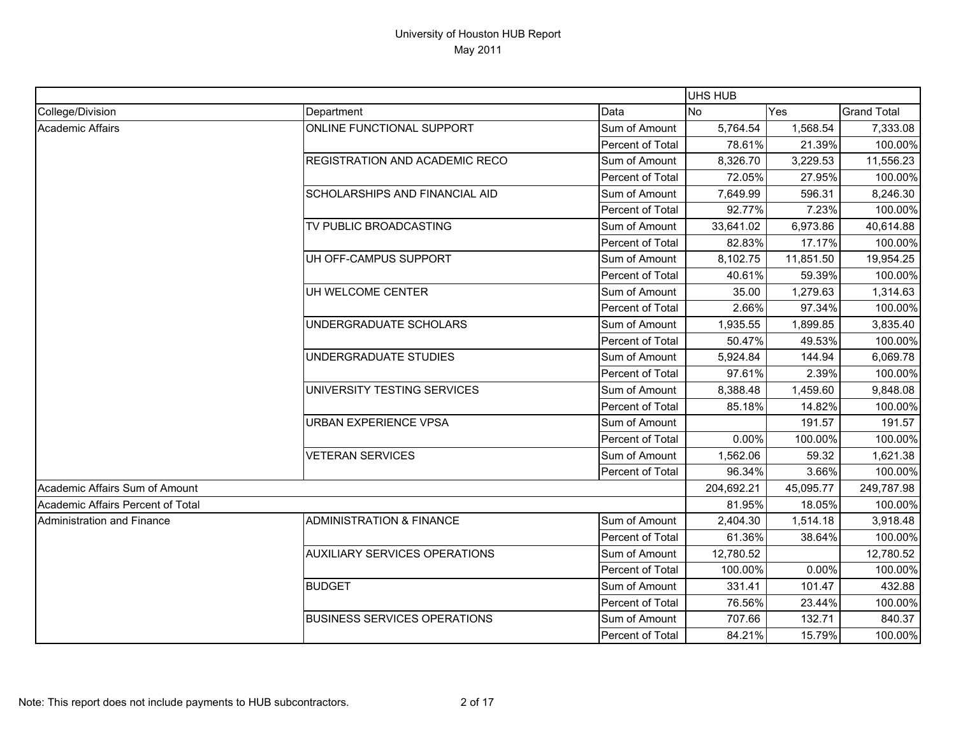|                                   |                                      |                  | <b>UHS HUB</b> |           |                    |
|-----------------------------------|--------------------------------------|------------------|----------------|-----------|--------------------|
| College/Division                  | Department                           | Data             | <b>No</b>      | Yes       | <b>Grand Total</b> |
| <b>Academic Affairs</b>           | ONLINE FUNCTIONAL SUPPORT            | Sum of Amount    | 5,764.54       | 1,568.54  | 7,333.08           |
|                                   |                                      | Percent of Total | 78.61%         | 21.39%    | 100.00%            |
|                                   | REGISTRATION AND ACADEMIC RECO       | Sum of Amount    | 8,326.70       | 3,229.53  | 11,556.23          |
|                                   |                                      | Percent of Total | 72.05%         | 27.95%    | 100.00%            |
|                                   | SCHOLARSHIPS AND FINANCIAL AID       | Sum of Amount    | 7,649.99       | 596.31    | 8,246.30           |
|                                   |                                      | Percent of Total | 92.77%         | 7.23%     | 100.00%            |
|                                   | TV PUBLIC BROADCASTING               | Sum of Amount    | 33,641.02      | 6,973.86  | 40,614.88          |
|                                   |                                      | Percent of Total | 82.83%         | 17.17%    | 100.00%            |
|                                   | UH OFF-CAMPUS SUPPORT                | Sum of Amount    | 8,102.75       | 11,851.50 | 19,954.25          |
|                                   |                                      | Percent of Total | 40.61%         | 59.39%    | 100.00%            |
|                                   | UH WELCOME CENTER                    | Sum of Amount    | 35.00          | 1,279.63  | 1,314.63           |
|                                   |                                      | Percent of Total | 2.66%          | 97.34%    | 100.00%            |
|                                   | UNDERGRADUATE SCHOLARS               | Sum of Amount    | 1,935.55       | 1,899.85  | 3,835.40           |
|                                   |                                      | Percent of Total | 50.47%         | 49.53%    | 100.00%            |
|                                   | UNDERGRADUATE STUDIES                | Sum of Amount    | 5,924.84       | 144.94    | 6,069.78           |
|                                   |                                      | Percent of Total | 97.61%         | 2.39%     | 100.00%            |
|                                   | UNIVERSITY TESTING SERVICES          | Sum of Amount    | 8,388.48       | 1,459.60  | 9,848.08           |
|                                   |                                      | Percent of Total | 85.18%         | 14.82%    | 100.00%            |
|                                   | URBAN EXPERIENCE VPSA                | Sum of Amount    |                | 191.57    | 191.57             |
|                                   |                                      | Percent of Total | 0.00%          | 100.00%   | 100.00%            |
|                                   | <b>VETERAN SERVICES</b>              | Sum of Amount    | 1,562.06       | 59.32     | 1,621.38           |
|                                   |                                      | Percent of Total | 96.34%         | 3.66%     | 100.00%            |
| Academic Affairs Sum of Amount    |                                      |                  | 204,692.21     | 45,095.77 | 249,787.98         |
| Academic Affairs Percent of Total |                                      |                  | 81.95%         | 18.05%    | 100.00%            |
| <b>Administration and Finance</b> | <b>ADMINISTRATION &amp; FINANCE</b>  | Sum of Amount    | 2,404.30       | 1,514.18  | 3,918.48           |
|                                   |                                      | Percent of Total | 61.36%         | 38.64%    | 100.00%            |
|                                   | <b>AUXILIARY SERVICES OPERATIONS</b> | Sum of Amount    | 12,780.52      |           | 12,780.52          |
|                                   |                                      | Percent of Total | 100.00%        | 0.00%     | 100.00%            |
|                                   | <b>BUDGET</b>                        | Sum of Amount    | 331.41         | 101.47    | 432.88             |
|                                   |                                      | Percent of Total | 76.56%         | 23.44%    | 100.00%            |
|                                   | <b>BUSINESS SERVICES OPERATIONS</b>  | Sum of Amount    | 707.66         | 132.71    | 840.37             |
|                                   |                                      | Percent of Total | 84.21%         | 15.79%    | 100.00%            |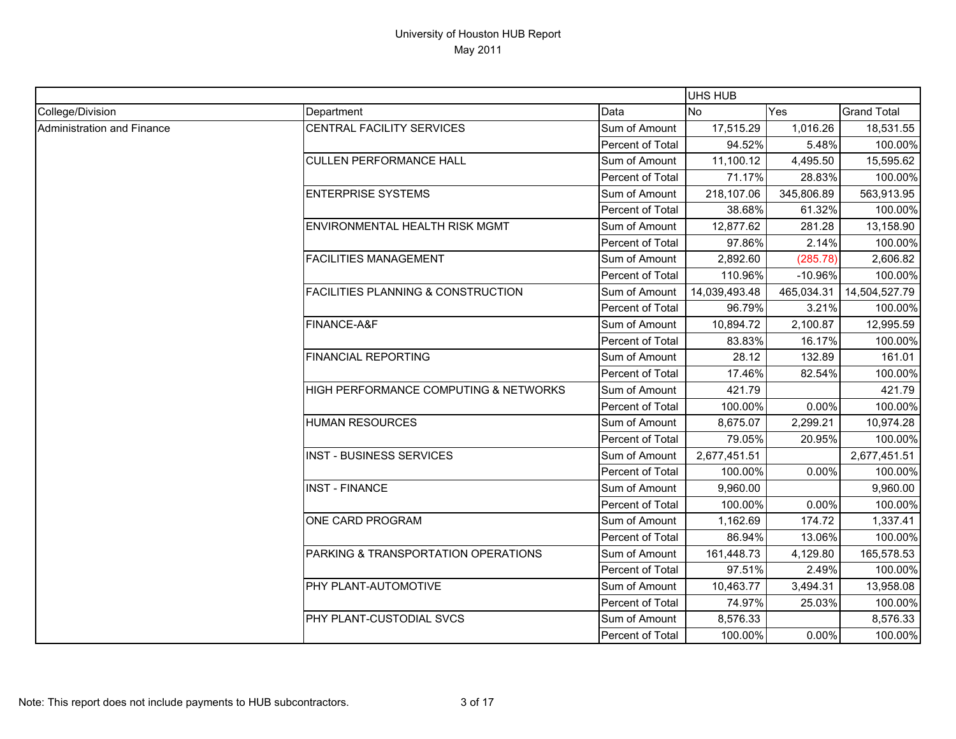|                            |                                               |                  | UHS HUB       |            |                    |
|----------------------------|-----------------------------------------------|------------------|---------------|------------|--------------------|
| College/Division           | Department                                    | Data             | No            | Yes        | <b>Grand Total</b> |
| Administration and Finance | <b>CENTRAL FACILITY SERVICES</b>              | Sum of Amount    | 17,515.29     | 1,016.26   | 18,531.55          |
|                            |                                               | Percent of Total | 94.52%        | 5.48%      | 100.00%            |
|                            | <b>CULLEN PERFORMANCE HALL</b>                | Sum of Amount    | 11,100.12     | 4,495.50   | 15,595.62          |
|                            |                                               | Percent of Total | 71.17%        | 28.83%     | 100.00%            |
|                            | <b>ENTERPRISE SYSTEMS</b>                     | Sum of Amount    | 218,107.06    | 345,806.89 | 563,913.95         |
|                            |                                               | Percent of Total | 38.68%        | 61.32%     | 100.00%            |
|                            | ENVIRONMENTAL HEALTH RISK MGMT                | Sum of Amount    | 12,877.62     | 281.28     | 13,158.90          |
|                            |                                               | Percent of Total | 97.86%        | 2.14%      | 100.00%            |
|                            | <b>FACILITIES MANAGEMENT</b>                  | Sum of Amount    | 2,892.60      | (285.78)   | 2,606.82           |
|                            |                                               | Percent of Total | 110.96%       | $-10.96%$  | 100.00%            |
|                            | <b>FACILITIES PLANNING &amp; CONSTRUCTION</b> | Sum of Amount    | 14,039,493.48 | 465,034.31 | 14,504,527.79      |
|                            |                                               | Percent of Total | 96.79%        | 3.21%      | 100.00%            |
|                            | FINANCE-A&F                                   | Sum of Amount    | 10,894.72     | 2,100.87   | 12,995.59          |
|                            |                                               | Percent of Total | 83.83%        | 16.17%     | 100.00%            |
|                            | <b>FINANCIAL REPORTING</b>                    | Sum of Amount    | 28.12         | 132.89     | 161.01             |
|                            |                                               | Percent of Total | 17.46%        | 82.54%     | 100.00%            |
|                            | HIGH PERFORMANCE COMPUTING & NETWORKS         | Sum of Amount    | 421.79        |            | 421.79             |
|                            |                                               | Percent of Total | 100.00%       | 0.00%      | 100.00%            |
|                            | <b>HUMAN RESOURCES</b>                        | Sum of Amount    | 8,675.07      | 2,299.21   | 10,974.28          |
|                            |                                               | Percent of Total | 79.05%        | 20.95%     | 100.00%            |
|                            | <b>INST - BUSINESS SERVICES</b>               | Sum of Amount    | 2,677,451.51  |            | 2,677,451.51       |
|                            |                                               | Percent of Total | 100.00%       | 0.00%      | 100.00%            |
|                            | <b>INST - FINANCE</b>                         | Sum of Amount    | 9,960.00      |            | 9,960.00           |
|                            |                                               | Percent of Total | 100.00%       | 0.00%      | 100.00%            |
|                            | ONE CARD PROGRAM                              | Sum of Amount    | 1,162.69      | 174.72     | 1,337.41           |
|                            |                                               | Percent of Total | 86.94%        | 13.06%     | 100.00%            |
|                            | PARKING & TRANSPORTATION OPERATIONS           | Sum of Amount    | 161,448.73    | 4,129.80   | 165,578.53         |
|                            |                                               | Percent of Total | 97.51%        | 2.49%      | 100.00%            |
|                            | PHY PLANT-AUTOMOTIVE                          | Sum of Amount    | 10,463.77     | 3,494.31   | 13,958.08          |
|                            |                                               | Percent of Total | 74.97%        | 25.03%     | 100.00%            |
|                            | PHY PLANT-CUSTODIAL SVCS                      | Sum of Amount    | 8,576.33      |            | 8,576.33           |
|                            |                                               | Percent of Total | 100.00%       | 0.00%      | 100.00%            |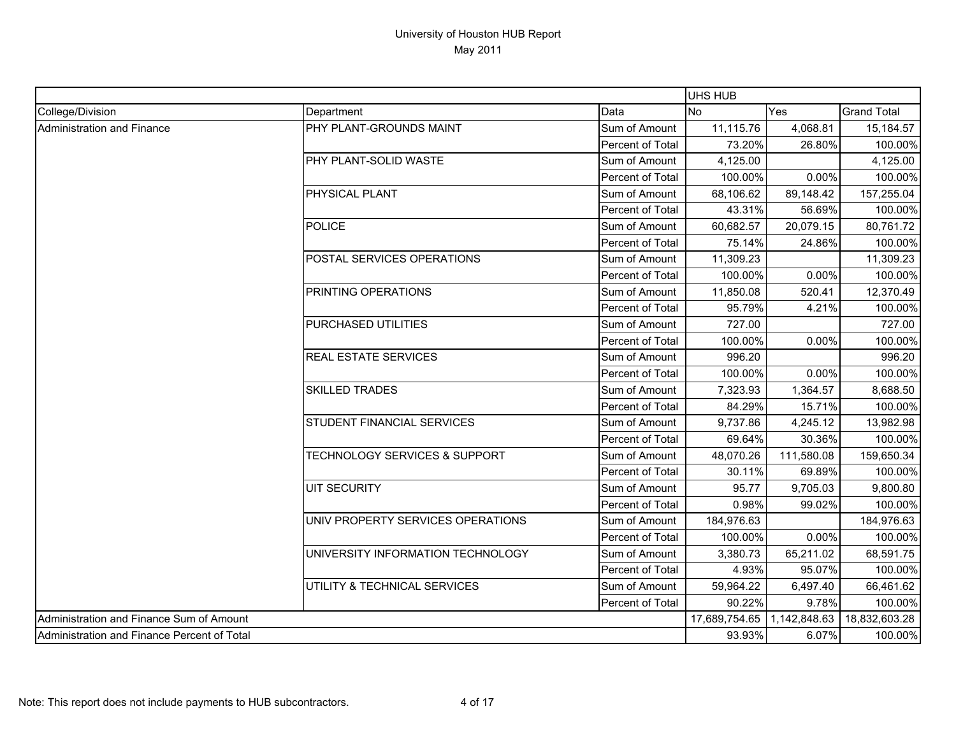|                                             |                                          |                         | UHS HUB       |              |                    |
|---------------------------------------------|------------------------------------------|-------------------------|---------------|--------------|--------------------|
| College/Division                            | Department                               | Data                    | <b>No</b>     | Yes          | <b>Grand Total</b> |
| <b>Administration and Finance</b>           | PHY PLANT-GROUNDS MAINT                  | Sum of Amount           | 11,115.76     | 4,068.81     | 15,184.57          |
|                                             |                                          | Percent of Total        | 73.20%        | 26.80%       | 100.00%            |
|                                             | PHY PLANT-SOLID WASTE                    | Sum of Amount           | 4,125.00      |              | 4,125.00           |
|                                             |                                          | <b>Percent of Total</b> | 100.00%       | 0.00%        | 100.00%            |
|                                             | PHYSICAL PLANT                           | Sum of Amount           | 68,106.62     | 89,148.42    | 157,255.04         |
|                                             |                                          | Percent of Total        | 43.31%        | 56.69%       | 100.00%            |
|                                             | <b>POLICE</b>                            | Sum of Amount           | 60,682.57     | 20,079.15    | 80,761.72          |
|                                             |                                          | Percent of Total        | 75.14%        | 24.86%       | 100.00%            |
|                                             | POSTAL SERVICES OPERATIONS               | Sum of Amount           | 11,309.23     |              | 11,309.23          |
|                                             |                                          | Percent of Total        | 100.00%       | 0.00%        | 100.00%            |
|                                             | PRINTING OPERATIONS                      | Sum of Amount           | 11,850.08     | 520.41       | 12,370.49          |
|                                             |                                          | Percent of Total        | 95.79%        | 4.21%        | 100.00%            |
|                                             | PURCHASED UTILITIES                      | Sum of Amount           | 727.00        |              | 727.00             |
|                                             |                                          | Percent of Total        | 100.00%       | 0.00%        | 100.00%            |
|                                             | <b>REAL ESTATE SERVICES</b>              | Sum of Amount           | 996.20        |              | 996.20             |
|                                             |                                          | Percent of Total        | 100.00%       | 0.00%        | 100.00%            |
|                                             | <b>SKILLED TRADES</b>                    | Sum of Amount           | 7,323.93      | 1,364.57     | 8,688.50           |
|                                             |                                          | <b>Percent of Total</b> | 84.29%        | 15.71%       | 100.00%            |
|                                             | STUDENT FINANCIAL SERVICES               | Sum of Amount           | 9,737.86      | 4,245.12     | 13,982.98          |
|                                             |                                          | Percent of Total        | 69.64%        | 30.36%       | 100.00%            |
|                                             | <b>TECHNOLOGY SERVICES &amp; SUPPORT</b> | Sum of Amount           | 48,070.26     | 111,580.08   | 159,650.34         |
|                                             |                                          | Percent of Total        | 30.11%        | 69.89%       | 100.00%            |
|                                             | <b>UIT SECURITY</b>                      | Sum of Amount           | 95.77         | 9,705.03     | 9,800.80           |
|                                             |                                          | Percent of Total        | 0.98%         | 99.02%       | 100.00%            |
|                                             | UNIV PROPERTY SERVICES OPERATIONS        | Sum of Amount           | 184,976.63    |              | 184,976.63         |
|                                             |                                          | Percent of Total        | 100.00%       | 0.00%        | 100.00%            |
|                                             | UNIVERSITY INFORMATION TECHNOLOGY        | Sum of Amount           | 3,380.73      | 65,211.02    | 68,591.75          |
|                                             |                                          | Percent of Total        | 4.93%         | 95.07%       | 100.00%            |
|                                             | UTILITY & TECHNICAL SERVICES             | Sum of Amount           | 59,964.22     | 6,497.40     | 66,461.62          |
|                                             |                                          | Percent of Total        | 90.22%        | 9.78%        | 100.00%            |
| Administration and Finance Sum of Amount    |                                          |                         | 17,689,754.65 | 1,142,848.63 | 18,832,603.28      |
| Administration and Finance Percent of Total |                                          |                         | 93.93%        | 6.07%        | 100.00%            |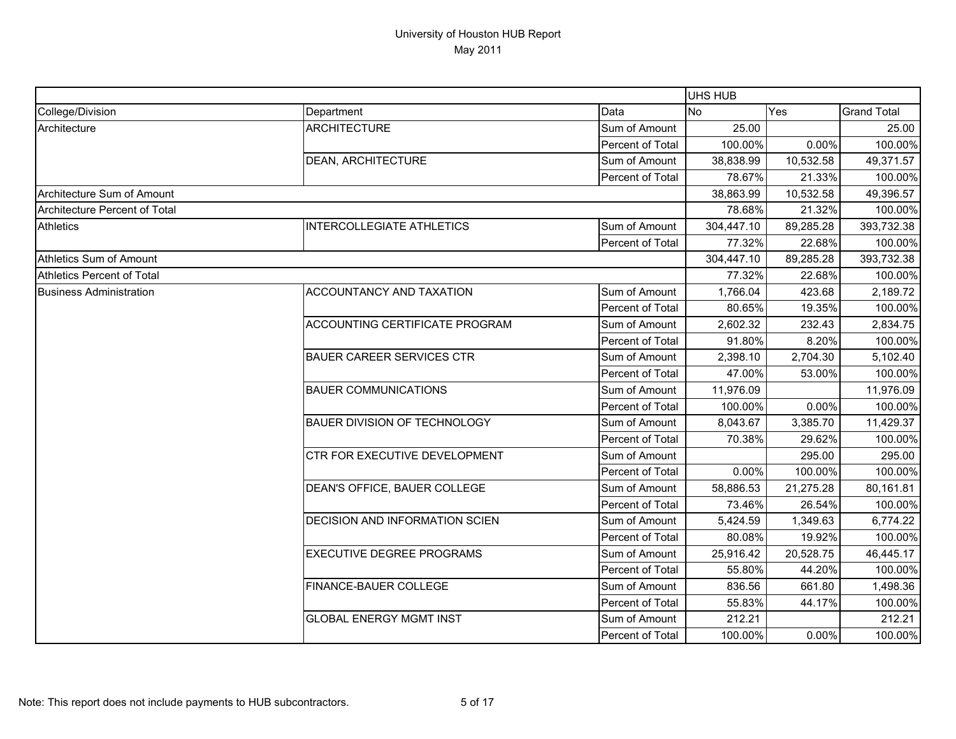|                                   |                                     |                  | UHS HUB    |           |                    |
|-----------------------------------|-------------------------------------|------------------|------------|-----------|--------------------|
| College/Division                  | Department                          | Data             | <b>No</b>  | Yes       | <b>Grand Total</b> |
| Architecture                      | <b>ARCHITECTURE</b>                 | Sum of Amount    | 25.00      |           | 25.00              |
|                                   |                                     | Percent of Total | 100.00%    | 0.00%     | 100.00%            |
|                                   | DEAN, ARCHITECTURE                  | Sum of Amount    | 38,838.99  | 10,532.58 | 49,371.57          |
|                                   |                                     | Percent of Total | 78.67%     | 21.33%    | 100.00%            |
| Architecture Sum of Amount        |                                     |                  | 38,863.99  | 10,532.58 | 49,396.57          |
| Architecture Percent of Total     |                                     |                  | 78.68%     | 21.32%    | 100.00%            |
| <b>Athletics</b>                  | <b>INTERCOLLEGIATE ATHLETICS</b>    | Sum of Amount    | 304,447.10 | 89,285.28 | 393,732.38         |
|                                   |                                     | Percent of Total | 77.32%     | 22.68%    | 100.00%            |
| Athletics Sum of Amount           |                                     |                  | 304,447.10 | 89,285.28 | 393,732.38         |
| <b>Athletics Percent of Total</b> |                                     |                  | 77.32%     | 22.68%    | 100.00%            |
| <b>Business Administration</b>    | ACCOUNTANCY AND TAXATION            | Sum of Amount    | 1,766.04   | 423.68    | 2,189.72           |
|                                   |                                     | Percent of Total | 80.65%     | 19.35%    | 100.00%            |
|                                   | ACCOUNTING CERTIFICATE PROGRAM      | Sum of Amount    | 2,602.32   | 232.43    | 2,834.75           |
|                                   |                                     | Percent of Total | 91.80%     | 8.20%     | 100.00%            |
|                                   | <b>BAUER CAREER SERVICES CTR</b>    | Sum of Amount    | 2,398.10   | 2,704.30  | 5,102.40           |
|                                   |                                     | Percent of Total | 47.00%     | 53.00%    | 100.00%            |
|                                   | <b>BAUER COMMUNICATIONS</b>         | Sum of Amount    | 11,976.09  |           | 11,976.09          |
|                                   |                                     | Percent of Total | 100.00%    | 0.00%     | 100.00%            |
|                                   | <b>BAUER DIVISION OF TECHNOLOGY</b> | Sum of Amount    | 8,043.67   | 3,385.70  | 11,429.37          |
|                                   |                                     | Percent of Total | 70.38%     | 29.62%    | 100.00%            |
|                                   | CTR FOR EXECUTIVE DEVELOPMENT       | Sum of Amount    |            | 295.00    | 295.00             |
|                                   |                                     | Percent of Total | 0.00%      | 100.00%   | 100.00%            |
|                                   | DEAN'S OFFICE, BAUER COLLEGE        | Sum of Amount    | 58,886.53  | 21,275.28 | 80,161.81          |
|                                   |                                     | Percent of Total | 73.46%     | 26.54%    | 100.00%            |
|                                   | DECISION AND INFORMATION SCIEN      | Sum of Amount    | 5,424.59   | 1,349.63  | 6,774.22           |
|                                   |                                     | Percent of Total | 80.08%     | 19.92%    | 100.00%            |
|                                   | <b>EXECUTIVE DEGREE PROGRAMS</b>    | Sum of Amount    | 25,916.42  | 20,528.75 | 46,445.17          |
|                                   |                                     | Percent of Total | 55.80%     | 44.20%    | 100.00%            |
|                                   | FINANCE-BAUER COLLEGE               | Sum of Amount    | 836.56     | 661.80    | 1,498.36           |
|                                   |                                     | Percent of Total | 55.83%     | 44.17%    | 100.00%            |
|                                   | <b>GLOBAL ENERGY MGMT INST</b>      | Sum of Amount    | 212.21     |           | 212.21             |
|                                   |                                     | Percent of Total | 100.00%    | 0.00%     | 100.00%            |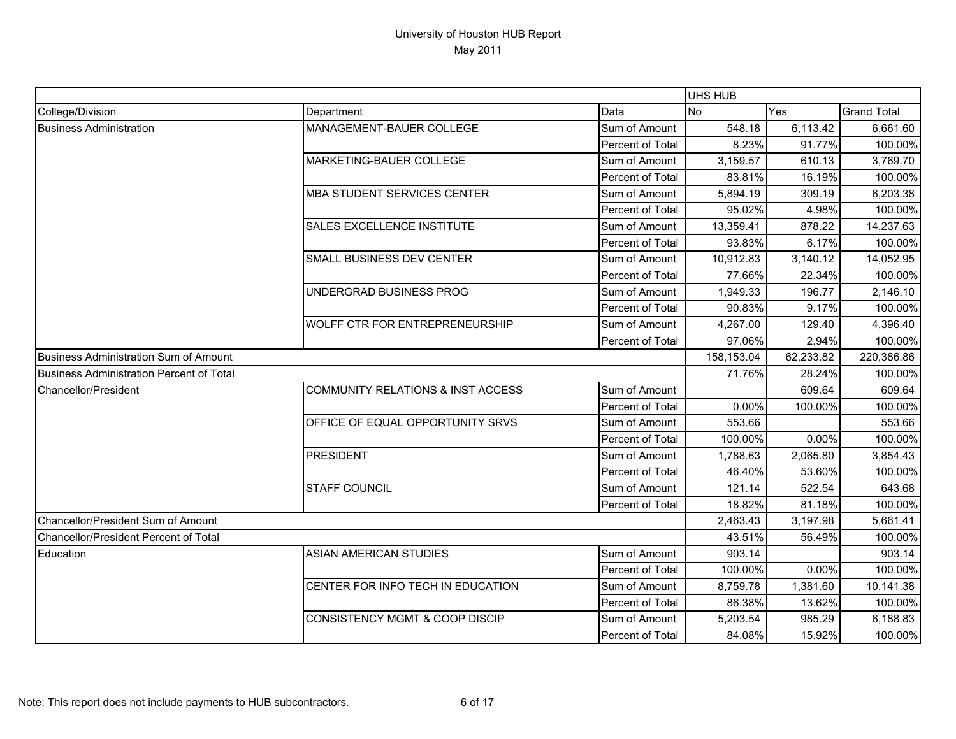|                                          |                                              |                         | UHS HUB    |           |                    |
|------------------------------------------|----------------------------------------------|-------------------------|------------|-----------|--------------------|
| College/Division                         | Department                                   | Data                    | <b>No</b>  | Yes       | <b>Grand Total</b> |
| <b>Business Administration</b>           | MANAGEMENT-BAUER COLLEGE                     | Sum of Amount           | 548.18     | 6,113.42  | 6,661.60           |
|                                          |                                              | Percent of Total        | 8.23%      | 91.77%    | 100.00%            |
|                                          | MARKETING-BAUER COLLEGE                      | Sum of Amount           | 3,159.57   | 610.13    | 3,769.70           |
|                                          |                                              | Percent of Total        | 83.81%     | 16.19%    | 100.00%            |
|                                          | <b>MBA STUDENT SERVICES CENTER</b>           | Sum of Amount           | 5,894.19   | 309.19    | 6,203.38           |
|                                          |                                              | Percent of Total        | 95.02%     | 4.98%     | 100.00%            |
|                                          | SALES EXCELLENCE INSTITUTE                   | Sum of Amount           | 13,359.41  | 878.22    | 14,237.63          |
|                                          |                                              | Percent of Total        | 93.83%     | 6.17%     | 100.00%            |
|                                          | SMALL BUSINESS DEV CENTER                    | Sum of Amount           | 10,912.83  | 3,140.12  | 14,052.95          |
|                                          |                                              | Percent of Total        | 77.66%     | 22.34%    | 100.00%            |
|                                          | UNDERGRAD BUSINESS PROG                      | Sum of Amount           | 1,949.33   | 196.77    | 2,146.10           |
|                                          |                                              | Percent of Total        | 90.83%     | 9.17%     | 100.00%            |
|                                          | WOLFF CTR FOR ENTREPRENEURSHIP               | Sum of Amount           | 4,267.00   | 129.40    | 4,396.40           |
|                                          |                                              | Percent of Total        | 97.06%     | 2.94%     | 100.00%            |
| Business Administration Sum of Amount    |                                              |                         | 158,153.04 | 62,233.82 | 220,386.86         |
| Business Administration Percent of Total |                                              |                         | 71.76%     | 28.24%    | 100.00%            |
| Chancellor/President                     | <b>COMMUNITY RELATIONS &amp; INST ACCESS</b> | Sum of Amount           |            | 609.64    | 609.64             |
|                                          |                                              | Percent of Total        | 0.00%      | 100.00%   | 100.00%            |
|                                          | OFFICE OF EQUAL OPPORTUNITY SRVS             | Sum of Amount           | 553.66     |           | 553.66             |
|                                          |                                              | Percent of Total        | 100.00%    | 0.00%     | 100.00%            |
|                                          | <b>PRESIDENT</b>                             | Sum of Amount           | 1,788.63   | 2,065.80  | 3,854.43           |
|                                          |                                              | Percent of Total        | 46.40%     | 53.60%    | 100.00%            |
|                                          | <b>STAFF COUNCIL</b>                         | Sum of Amount           | 121.14     | 522.54    | 643.68             |
|                                          |                                              | <b>Percent of Total</b> | 18.82%     | 81.18%    | 100.00%            |
| Chancellor/President Sum of Amount       |                                              |                         | 2,463.43   | 3,197.98  | 5,661.41           |
| Chancellor/President Percent of Total    |                                              |                         | 43.51%     | 56.49%    | 100.00%            |
| Education                                | ASIAN AMERICAN STUDIES                       | Sum of Amount           | 903.14     |           | 903.14             |
|                                          |                                              | Percent of Total        | 100.00%    | 0.00%     | 100.00%            |
|                                          | CENTER FOR INFO TECH IN EDUCATION            | Sum of Amount           | 8,759.78   | 1,381.60  | 10,141.38          |
|                                          |                                              | Percent of Total        | 86.38%     | 13.62%    | 100.00%            |
|                                          | CONSISTENCY MGMT & COOP DISCIP               | Sum of Amount           | 5,203.54   | 985.29    | 6,188.83           |
|                                          |                                              | Percent of Total        | 84.08%     | 15.92%    | 100.00%            |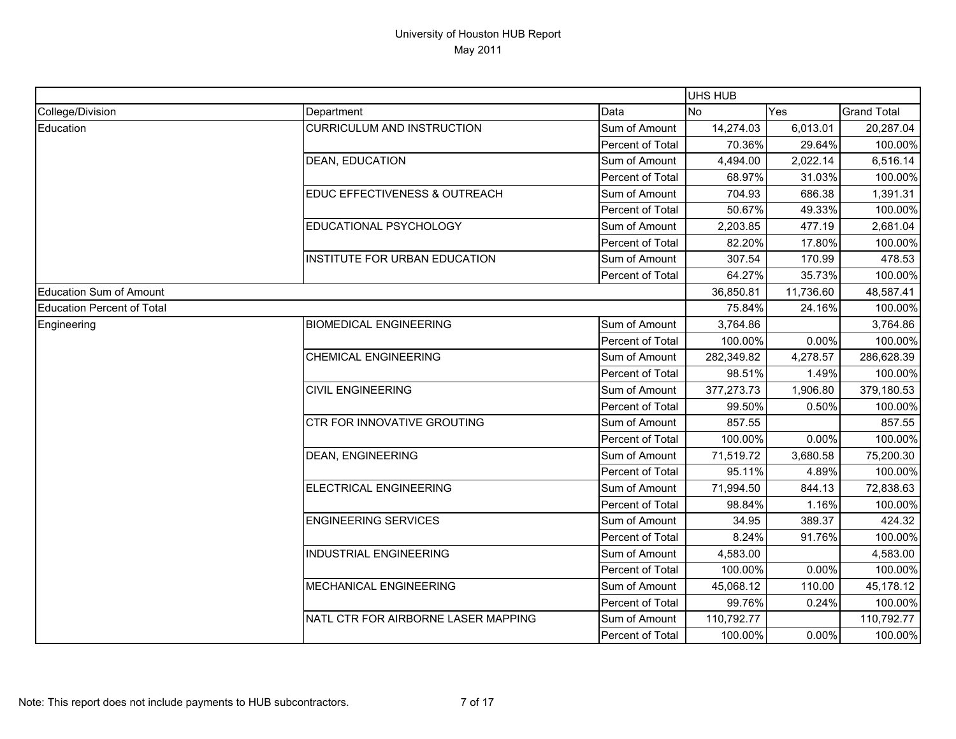|                                   |                                     |                  | <b>UHS HUB</b> |           |                    |
|-----------------------------------|-------------------------------------|------------------|----------------|-----------|--------------------|
| College/Division                  | Department                          | Data             | <b>No</b>      | Yes       | <b>Grand Total</b> |
| Education                         | <b>CURRICULUM AND INSTRUCTION</b>   | Sum of Amount    | 14,274.03      | 6,013.01  | 20,287.04          |
|                                   |                                     | Percent of Total | 70.36%         | 29.64%    | 100.00%            |
|                                   | <b>DEAN, EDUCATION</b>              | Sum of Amount    | 4,494.00       | 2,022.14  | 6,516.14           |
|                                   |                                     | Percent of Total | 68.97%         | 31.03%    | 100.00%            |
|                                   | EDUC EFFECTIVENESS & OUTREACH       | Sum of Amount    | 704.93         | 686.38    | 1,391.31           |
|                                   |                                     | Percent of Total | 50.67%         | 49.33%    | 100.00%            |
|                                   | EDUCATIONAL PSYCHOLOGY              | Sum of Amount    | 2,203.85       | 477.19    | 2,681.04           |
|                                   |                                     | Percent of Total | 82.20%         | 17.80%    | 100.00%            |
|                                   | INSTITUTE FOR URBAN EDUCATION       | Sum of Amount    | 307.54         | 170.99    | 478.53             |
|                                   |                                     | Percent of Total | 64.27%         | 35.73%    | 100.00%            |
| <b>Education Sum of Amount</b>    |                                     |                  | 36,850.81      | 11,736.60 | 48,587.41          |
| <b>Education Percent of Total</b> |                                     |                  | 75.84%         | 24.16%    | 100.00%            |
| Engineering                       | <b>BIOMEDICAL ENGINEERING</b>       | Sum of Amount    | 3,764.86       |           | 3,764.86           |
|                                   |                                     | Percent of Total | 100.00%        | 0.00%     | 100.00%            |
|                                   | <b>CHEMICAL ENGINEERING</b>         | Sum of Amount    | 282,349.82     | 4,278.57  | 286,628.39         |
|                                   |                                     | Percent of Total | 98.51%         | 1.49%     | 100.00%            |
|                                   | <b>CIVIL ENGINEERING</b>            | Sum of Amount    | 377,273.73     | 1,906.80  | 379,180.53         |
|                                   |                                     | Percent of Total | 99.50%         | 0.50%     | 100.00%            |
|                                   | CTR FOR INNOVATIVE GROUTING         | Sum of Amount    | 857.55         |           | 857.55             |
|                                   |                                     | Percent of Total | 100.00%        | 0.00%     | 100.00%            |
|                                   | <b>DEAN, ENGINEERING</b>            | Sum of Amount    | 71,519.72      | 3,680.58  | 75,200.30          |
|                                   |                                     | Percent of Total | 95.11%         | 4.89%     | 100.00%            |
|                                   | ELECTRICAL ENGINEERING              | Sum of Amount    | 71,994.50      | 844.13    | 72,838.63          |
|                                   |                                     | Percent of Total | 98.84%         | 1.16%     | 100.00%            |
|                                   | <b>ENGINEERING SERVICES</b>         | Sum of Amount    | 34.95          | 389.37    | 424.32             |
|                                   |                                     | Percent of Total | 8.24%          | 91.76%    | 100.00%            |
|                                   | <b>INDUSTRIAL ENGINEERING</b>       | Sum of Amount    | 4,583.00       |           | 4,583.00           |
|                                   |                                     | Percent of Total | 100.00%        | 0.00%     | 100.00%            |
|                                   | MECHANICAL ENGINEERING              | Sum of Amount    | 45,068.12      | 110.00    | 45,178.12          |
|                                   |                                     | Percent of Total | 99.76%         | 0.24%     | 100.00%            |
|                                   | NATL CTR FOR AIRBORNE LASER MAPPING | Sum of Amount    | 110,792.77     |           | 110,792.77         |
|                                   |                                     | Percent of Total | 100.00%        | 0.00%     | 100.00%            |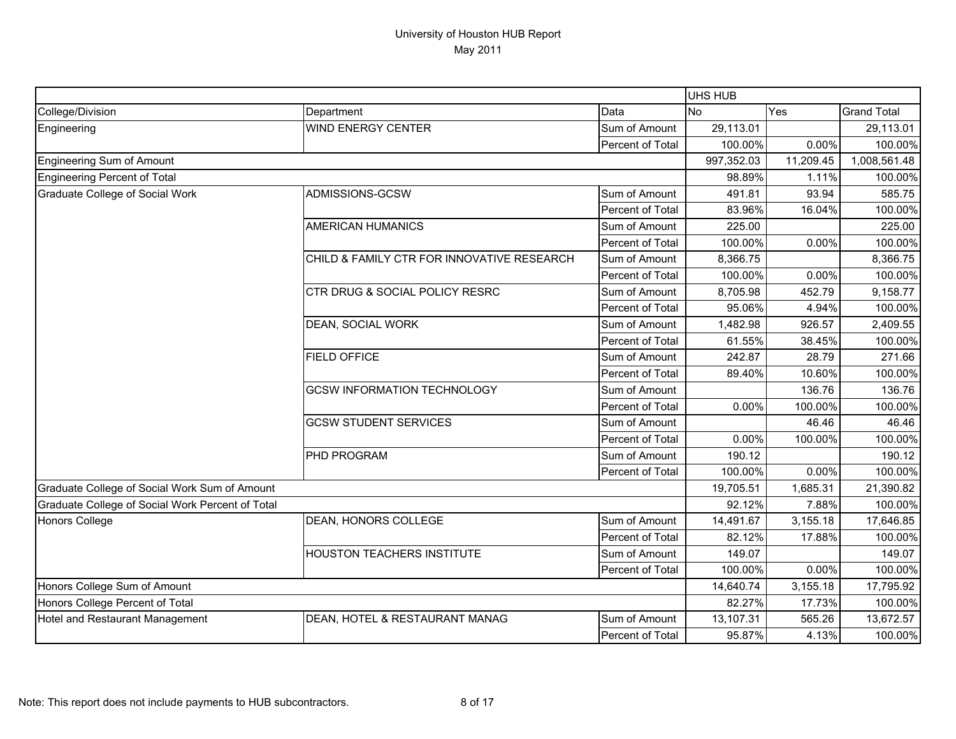|                                                  |                                            |                  | UHS HUB    |           |                    |
|--------------------------------------------------|--------------------------------------------|------------------|------------|-----------|--------------------|
| College/Division                                 | Department                                 | Data             | <b>No</b>  | Yes       | <b>Grand Total</b> |
| Engineering                                      | <b>WIND ENERGY CENTER</b>                  | Sum of Amount    | 29,113.01  |           | 29,113.01          |
|                                                  |                                            | Percent of Total | 100.00%    | 0.00%     | 100.00%            |
| <b>Engineering Sum of Amount</b>                 |                                            |                  | 997,352.03 | 11,209.45 | 1,008,561.48       |
| <b>Engineering Percent of Total</b>              |                                            |                  | 98.89%     | 1.11%     | 100.00%            |
| Graduate College of Social Work                  | ADMISSIONS-GCSW                            | Sum of Amount    | 491.81     | 93.94     | 585.75             |
|                                                  |                                            | Percent of Total | 83.96%     | 16.04%    | 100.00%            |
|                                                  | <b>AMERICAN HUMANICS</b>                   | Sum of Amount    | 225.00     |           | 225.00             |
|                                                  |                                            | Percent of Total | 100.00%    | 0.00%     | 100.00%            |
|                                                  | CHILD & FAMILY CTR FOR INNOVATIVE RESEARCH | Sum of Amount    | 8,366.75   |           | 8,366.75           |
|                                                  |                                            | Percent of Total | 100.00%    | 0.00%     | 100.00%            |
|                                                  | CTR DRUG & SOCIAL POLICY RESRC             | Sum of Amount    | 8,705.98   | 452.79    | 9,158.77           |
|                                                  |                                            | Percent of Total | 95.06%     | 4.94%     | 100.00%            |
|                                                  | <b>DEAN, SOCIAL WORK</b>                   | Sum of Amount    | 1,482.98   | 926.57    | 2,409.55           |
|                                                  |                                            | Percent of Total | 61.55%     | 38.45%    | 100.00%            |
|                                                  | <b>FIELD OFFICE</b>                        | Sum of Amount    | 242.87     | 28.79     | 271.66             |
|                                                  |                                            | Percent of Total | 89.40%     | 10.60%    | 100.00%            |
|                                                  | <b>GCSW INFORMATION TECHNOLOGY</b>         | Sum of Amount    |            | 136.76    | 136.76             |
|                                                  |                                            | Percent of Total | 0.00%      | 100.00%   | 100.00%            |
|                                                  | <b>GCSW STUDENT SERVICES</b>               | Sum of Amount    |            | 46.46     | 46.46              |
|                                                  |                                            | Percent of Total | 0.00%      | 100.00%   | 100.00%            |
|                                                  | <b>PHD PROGRAM</b>                         | Sum of Amount    | 190.12     |           | 190.12             |
|                                                  |                                            | Percent of Total | 100.00%    | 0.00%     | 100.00%            |
| Graduate College of Social Work Sum of Amount    |                                            |                  | 19,705.51  | 1,685.31  | 21,390.82          |
| Graduate College of Social Work Percent of Total |                                            |                  | 92.12%     | 7.88%     | 100.00%            |
| <b>Honors College</b>                            | DEAN, HONORS COLLEGE                       | Sum of Amount    | 14,491.67  | 3,155.18  | 17,646.85          |
|                                                  |                                            | Percent of Total | 82.12%     | 17.88%    | 100.00%            |
|                                                  | <b>HOUSTON TEACHERS INSTITUTE</b>          | Sum of Amount    | 149.07     |           | 149.07             |
|                                                  |                                            | Percent of Total | 100.00%    | 0.00%     | 100.00%            |
| Honors College Sum of Amount                     |                                            | 14,640.74        | 3,155.18   | 17,795.92 |                    |
| Honors College Percent of Total                  |                                            |                  | 82.27%     | 17.73%    | 100.00%            |
| Hotel and Restaurant Management                  | DEAN, HOTEL & RESTAURANT MANAG             | Sum of Amount    | 13,107.31  | 565.26    | 13,672.57          |
|                                                  |                                            | Percent of Total | 95.87%     | 4.13%     | 100.00%            |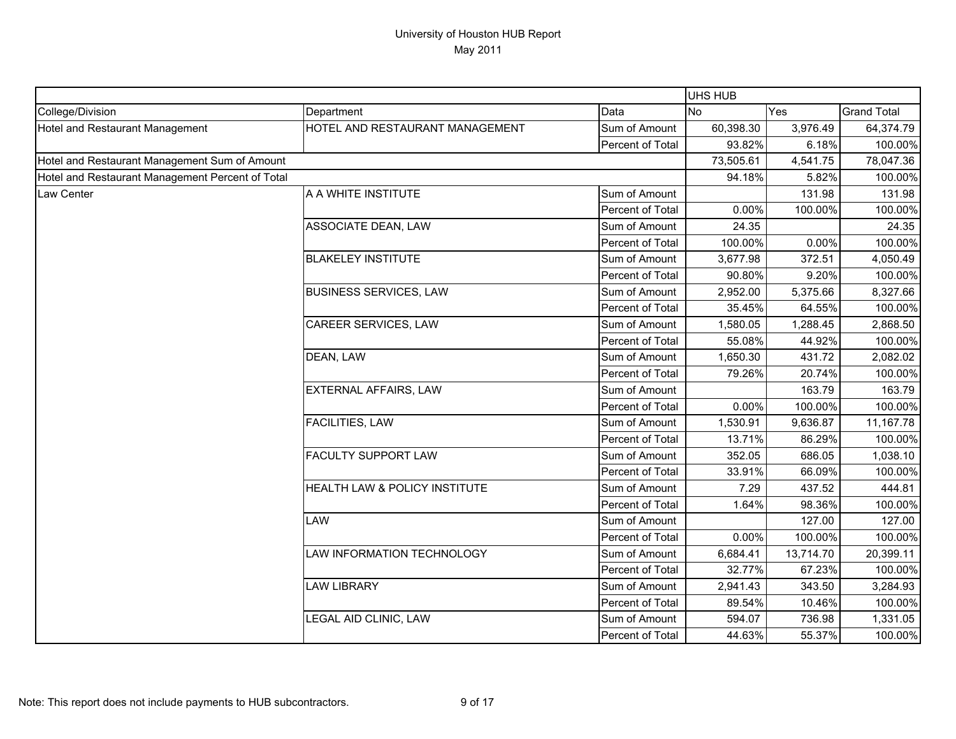|                                                  |                                 |                  | UHS HUB   |           |                    |
|--------------------------------------------------|---------------------------------|------------------|-----------|-----------|--------------------|
| College/Division                                 | Department                      | Data             | <b>No</b> | Yes       | <b>Grand Total</b> |
| Hotel and Restaurant Management                  | HOTEL AND RESTAURANT MANAGEMENT | Sum of Amount    | 60,398.30 | 3,976.49  | 64,374.79          |
|                                                  |                                 | Percent of Total | 93.82%    | 6.18%     | 100.00%            |
| Hotel and Restaurant Management Sum of Amount    |                                 |                  | 73,505.61 | 4,541.75  | 78,047.36          |
| Hotel and Restaurant Management Percent of Total |                                 |                  | 94.18%    | 5.82%     | 100.00%            |
| <b>Law Center</b>                                | A A WHITE INSTITUTE             | Sum of Amount    |           | 131.98    | 131.98             |
|                                                  |                                 | Percent of Total | 0.00%     | 100.00%   | 100.00%            |
|                                                  | ASSOCIATE DEAN, LAW             | Sum of Amount    | 24.35     |           | 24.35              |
|                                                  |                                 | Percent of Total | 100.00%   | 0.00%     | 100.00%            |
|                                                  | <b>BLAKELEY INSTITUTE</b>       | Sum of Amount    | 3,677.98  | 372.51    | 4,050.49           |
|                                                  |                                 | Percent of Total | 90.80%    | 9.20%     | 100.00%            |
|                                                  | <b>BUSINESS SERVICES, LAW</b>   | Sum of Amount    | 2,952.00  | 5,375.66  | 8,327.66           |
|                                                  |                                 | Percent of Total | 35.45%    | 64.55%    | 100.00%            |
|                                                  | CAREER SERVICES, LAW            | Sum of Amount    | 1,580.05  | 1,288.45  | 2,868.50           |
|                                                  |                                 | Percent of Total | 55.08%    | 44.92%    | 100.00%            |
|                                                  | DEAN, LAW                       | Sum of Amount    | 1,650.30  | 431.72    | 2,082.02           |
|                                                  |                                 | Percent of Total | 79.26%    | 20.74%    | 100.00%            |
|                                                  | <b>EXTERNAL AFFAIRS, LAW</b>    | Sum of Amount    |           | 163.79    | 163.79             |
|                                                  |                                 | Percent of Total | 0.00%     | 100.00%   | 100.00%            |
|                                                  | <b>FACILITIES, LAW</b>          | Sum of Amount    | 1,530.91  | 9,636.87  | 11,167.78          |
|                                                  |                                 | Percent of Total | 13.71%    | 86.29%    | 100.00%            |
|                                                  | <b>FACULTY SUPPORT LAW</b>      | Sum of Amount    | 352.05    | 686.05    | 1,038.10           |
|                                                  |                                 | Percent of Total | 33.91%    | 66.09%    | 100.00%            |
|                                                  | HEALTH LAW & POLICY INSTITUTE   | Sum of Amount    | 7.29      | 437.52    | 444.81             |
|                                                  |                                 | Percent of Total | 1.64%     | 98.36%    | 100.00%            |
|                                                  | LAW                             | Sum of Amount    |           | 127.00    | 127.00             |
|                                                  |                                 | Percent of Total | 0.00%     | 100.00%   | 100.00%            |
|                                                  | LAW INFORMATION TECHNOLOGY      | Sum of Amount    | 6,684.41  | 13,714.70 | 20,399.11          |
|                                                  |                                 | Percent of Total | 32.77%    | 67.23%    | 100.00%            |
|                                                  | <b>LAW LIBRARY</b>              | Sum of Amount    | 2,941.43  | 343.50    | 3,284.93           |
|                                                  |                                 | Percent of Total | 89.54%    | 10.46%    | 100.00%            |
|                                                  | LEGAL AID CLINIC, LAW           | Sum of Amount    | 594.07    | 736.98    | 1,331.05           |
|                                                  |                                 | Percent of Total | 44.63%    | 55.37%    | 100.00%            |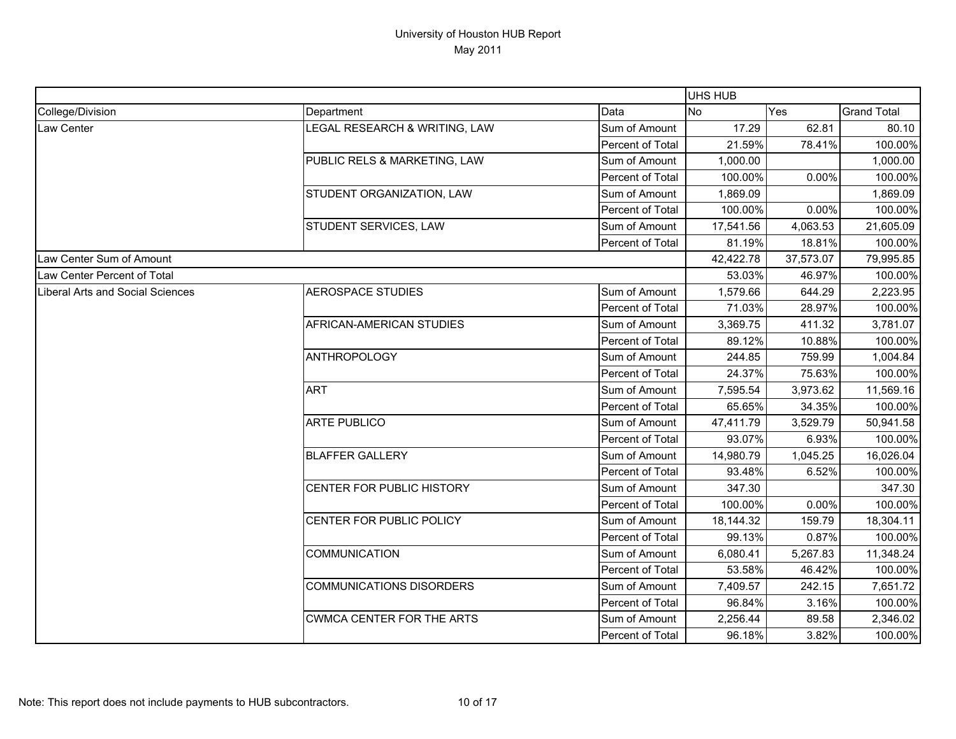|                                  |                                  |                  | <b>UHS HUB</b> |           |                    |
|----------------------------------|----------------------------------|------------------|----------------|-----------|--------------------|
| College/Division                 | Department                       | Data             | No             | Yes       | <b>Grand Total</b> |
| Law Center                       | LEGAL RESEARCH & WRITING, LAW    | Sum of Amount    | 17.29          | 62.81     | 80.10              |
|                                  |                                  | Percent of Total | 21.59%         | 78.41%    | 100.00%            |
|                                  | PUBLIC RELS & MARKETING, LAW     | Sum of Amount    | 1,000.00       |           | 1,000.00           |
|                                  |                                  | Percent of Total | 100.00%        | 0.00%     | 100.00%            |
|                                  | STUDENT ORGANIZATION, LAW        | Sum of Amount    | 1,869.09       |           | 1,869.09           |
|                                  |                                  | Percent of Total | 100.00%        | 0.00%     | 100.00%            |
|                                  | STUDENT SERVICES, LAW            | Sum of Amount    | 17,541.56      | 4,063.53  | 21,605.09          |
|                                  |                                  | Percent of Total | 81.19%         | 18.81%    | 100.00%            |
| Law Center Sum of Amount         |                                  |                  | 42,422.78      | 37,573.07 | 79,995.85          |
| Law Center Percent of Total      |                                  |                  | 53.03%         | 46.97%    | 100.00%            |
| Liberal Arts and Social Sciences | <b>AEROSPACE STUDIES</b>         | Sum of Amount    | 1,579.66       | 644.29    | 2,223.95           |
|                                  |                                  | Percent of Total | 71.03%         | 28.97%    | 100.00%            |
|                                  | AFRICAN-AMERICAN STUDIES         | Sum of Amount    | 3,369.75       | 411.32    | 3,781.07           |
|                                  |                                  | Percent of Total | 89.12%         | 10.88%    | 100.00%            |
|                                  | ANTHROPOLOGY                     | Sum of Amount    | 244.85         | 759.99    | 1,004.84           |
|                                  |                                  | Percent of Total | 24.37%         | 75.63%    | 100.00%            |
|                                  | <b>ART</b>                       | Sum of Amount    | 7,595.54       | 3,973.62  | 11,569.16          |
|                                  |                                  | Percent of Total | 65.65%         | 34.35%    | 100.00%            |
|                                  | <b>ARTE PUBLICO</b>              | Sum of Amount    | 47,411.79      | 3,529.79  | 50,941.58          |
|                                  |                                  | Percent of Total | 93.07%         | 6.93%     | 100.00%            |
|                                  | <b>BLAFFER GALLERY</b>           | Sum of Amount    | 14,980.79      | 1,045.25  | 16,026.04          |
|                                  |                                  | Percent of Total | 93.48%         | 6.52%     | 100.00%            |
|                                  | CENTER FOR PUBLIC HISTORY        | Sum of Amount    | 347.30         |           | 347.30             |
|                                  |                                  | Percent of Total | 100.00%        | 0.00%     | 100.00%            |
|                                  | CENTER FOR PUBLIC POLICY         | Sum of Amount    | 18,144.32      | 159.79    | 18,304.11          |
|                                  |                                  | Percent of Total | 99.13%         | 0.87%     | 100.00%            |
|                                  | <b>COMMUNICATION</b>             | Sum of Amount    | 6,080.41       | 5,267.83  | 11,348.24          |
|                                  |                                  | Percent of Total | 53.58%         | 46.42%    | 100.00%            |
|                                  | <b>COMMUNICATIONS DISORDERS</b>  | Sum of Amount    | 7,409.57       | 242.15    | 7,651.72           |
|                                  |                                  | Percent of Total | 96.84%         | 3.16%     | 100.00%            |
|                                  | <b>CWMCA CENTER FOR THE ARTS</b> | Sum of Amount    | 2,256.44       | 89.58     | 2,346.02           |
|                                  |                                  | Percent of Total | 96.18%         | 3.82%     | 100.00%            |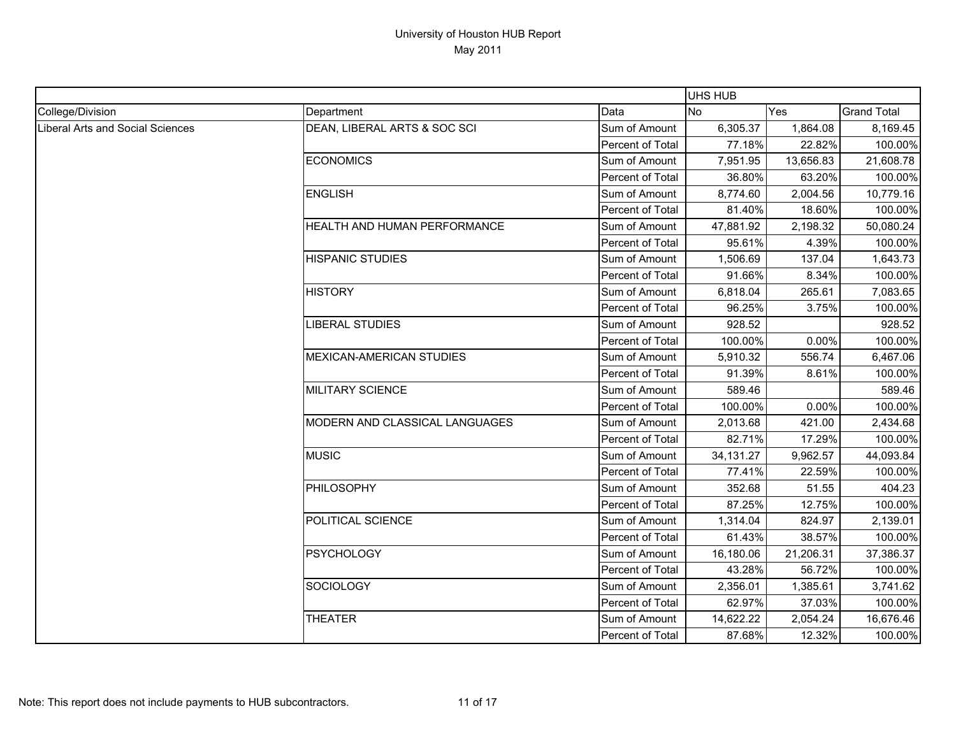|                                  |                                 |                  | UHS HUB     |           |                    |
|----------------------------------|---------------------------------|------------------|-------------|-----------|--------------------|
| College/Division                 | Department                      | Data             | No          | Yes       | <b>Grand Total</b> |
| Liberal Arts and Social Sciences | DEAN, LIBERAL ARTS & SOC SCI    | Sum of Amount    | 6,305.37    | 1,864.08  | 8,169.45           |
|                                  |                                 | Percent of Total | 77.18%      | 22.82%    | 100.00%            |
|                                  | <b>ECONOMICS</b>                | Sum of Amount    | 7,951.95    | 13,656.83 | 21,608.78          |
|                                  |                                 | Percent of Total | 36.80%      | 63.20%    | 100.00%            |
|                                  | <b>ENGLISH</b>                  | Sum of Amount    | 8,774.60    | 2,004.56  | 10,779.16          |
|                                  |                                 | Percent of Total | 81.40%      | 18.60%    | 100.00%            |
|                                  | HEALTH AND HUMAN PERFORMANCE    | Sum of Amount    | 47,881.92   | 2,198.32  | 50,080.24          |
|                                  |                                 | Percent of Total | 95.61%      | 4.39%     | 100.00%            |
|                                  | <b>HISPANIC STUDIES</b>         | Sum of Amount    | 1,506.69    | 137.04    | 1,643.73           |
|                                  |                                 | Percent of Total | 91.66%      | 8.34%     | 100.00%            |
|                                  | <b>HISTORY</b>                  | Sum of Amount    | 6,818.04    | 265.61    | 7,083.65           |
|                                  |                                 | Percent of Total | 96.25%      | 3.75%     | 100.00%            |
|                                  | <b>LIBERAL STUDIES</b>          | Sum of Amount    | 928.52      |           | 928.52             |
|                                  |                                 | Percent of Total | 100.00%     | 0.00%     | 100.00%            |
|                                  | <b>MEXICAN-AMERICAN STUDIES</b> | Sum of Amount    | 5,910.32    | 556.74    | 6,467.06           |
|                                  |                                 | Percent of Total | 91.39%      | 8.61%     | 100.00%            |
|                                  | MILITARY SCIENCE                | Sum of Amount    | 589.46      |           | 589.46             |
|                                  |                                 | Percent of Total | 100.00%     | 0.00%     | 100.00%            |
|                                  | MODERN AND CLASSICAL LANGUAGES  | Sum of Amount    | 2,013.68    | 421.00    | 2,434.68           |
|                                  |                                 | Percent of Total | 82.71%      | 17.29%    | 100.00%            |
|                                  | <b>MUSIC</b>                    | Sum of Amount    | 34, 131. 27 | 9,962.57  | 44,093.84          |
|                                  |                                 | Percent of Total | 77.41%      | 22.59%    | 100.00%            |
|                                  | PHILOSOPHY                      | Sum of Amount    | 352.68      | 51.55     | 404.23             |
|                                  |                                 | Percent of Total | 87.25%      | 12.75%    | 100.00%            |
|                                  | POLITICAL SCIENCE               | Sum of Amount    | 1,314.04    | 824.97    | 2,139.01           |
|                                  |                                 | Percent of Total | 61.43%      | 38.57%    | 100.00%            |
|                                  | <b>PSYCHOLOGY</b>               | Sum of Amount    | 16,180.06   | 21,206.31 | 37,386.37          |
|                                  |                                 | Percent of Total | 43.28%      | 56.72%    | 100.00%            |
|                                  | <b>SOCIOLOGY</b>                | Sum of Amount    | 2,356.01    | 1,385.61  | 3,741.62           |
|                                  |                                 | Percent of Total | 62.97%      | 37.03%    | 100.00%            |
|                                  | <b>THEATER</b>                  | Sum of Amount    | 14,622.22   | 2,054.24  | 16,676.46          |
|                                  |                                 | Percent of Total | 87.68%      | 12.32%    | 100.00%            |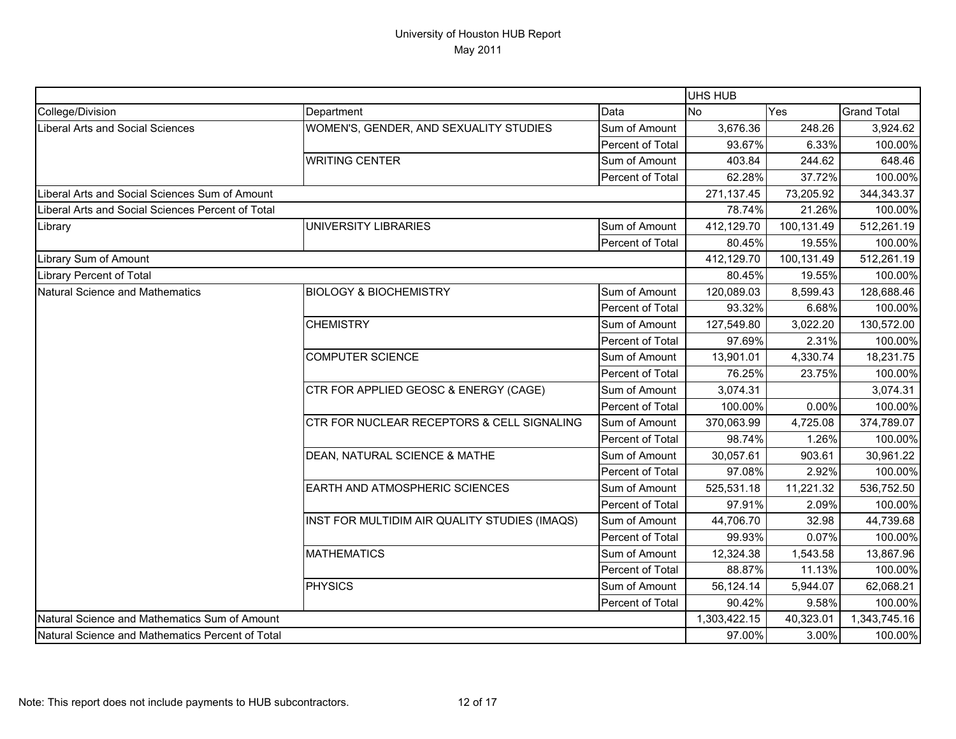|                                                   |                                               |                  | <b>UHS HUB</b> |            |                    |
|---------------------------------------------------|-----------------------------------------------|------------------|----------------|------------|--------------------|
| College/Division                                  | Department                                    | Data             | <b>No</b>      | Yes        | <b>Grand Total</b> |
| Liberal Arts and Social Sciences                  | WOMEN'S, GENDER, AND SEXUALITY STUDIES        | Sum of Amount    | 3,676.36       | 248.26     | 3,924.62           |
|                                                   |                                               | Percent of Total | 93.67%         | 6.33%      | 100.00%            |
|                                                   | <b>WRITING CENTER</b>                         | Sum of Amount    | 403.84         | 244.62     | 648.46             |
|                                                   |                                               | Percent of Total | 62.28%         | 37.72%     | 100.00%            |
| Liberal Arts and Social Sciences Sum of Amount    |                                               |                  | 271,137.45     | 73,205.92  | 344,343.37         |
| Liberal Arts and Social Sciences Percent of Total |                                               |                  | 78.74%         | 21.26%     | 100.00%            |
| Library                                           | <b>UNIVERSITY LIBRARIES</b>                   | Sum of Amount    | 412,129.70     | 100,131.49 | 512,261.19         |
|                                                   |                                               | Percent of Total | 80.45%         | 19.55%     | 100.00%            |
| Library Sum of Amount                             |                                               |                  | 412,129.70     | 100,131.49 | 512,261.19         |
| <b>Library Percent of Total</b>                   |                                               |                  | 80.45%         | 19.55%     | 100.00%            |
| <b>Natural Science and Mathematics</b>            | <b>BIOLOGY &amp; BIOCHEMISTRY</b>             | Sum of Amount    | 120,089.03     | 8,599.43   | 128,688.46         |
|                                                   |                                               | Percent of Total | 93.32%         | 6.68%      | 100.00%            |
|                                                   | <b>CHEMISTRY</b>                              | Sum of Amount    | 127,549.80     | 3,022.20   | 130,572.00         |
|                                                   |                                               | Percent of Total | 97.69%         | 2.31%      | 100.00%            |
|                                                   | <b>COMPUTER SCIENCE</b>                       | Sum of Amount    | 13,901.01      | 4,330.74   | 18,231.75          |
|                                                   |                                               | Percent of Total | 76.25%         | 23.75%     | 100.00%            |
|                                                   | CTR FOR APPLIED GEOSC & ENERGY (CAGE)         | Sum of Amount    | 3,074.31       |            | 3,074.31           |
|                                                   |                                               | Percent of Total | 100.00%        | 0.00%      | 100.00%            |
|                                                   | CTR FOR NUCLEAR RECEPTORS & CELL SIGNALING    | Sum of Amount    | 370,063.99     | 4,725.08   | 374,789.07         |
|                                                   |                                               | Percent of Total | 98.74%         | 1.26%      | 100.00%            |
|                                                   | DEAN, NATURAL SCIENCE & MATHE                 | Sum of Amount    | 30,057.61      | 903.61     | 30,961.22          |
|                                                   |                                               | Percent of Total | 97.08%         | 2.92%      | 100.00%            |
|                                                   | <b>EARTH AND ATMOSPHERIC SCIENCES</b>         | Sum of Amount    | 525,531.18     | 11,221.32  | 536,752.50         |
|                                                   |                                               | Percent of Total | 97.91%         | 2.09%      | 100.00%            |
|                                                   | INST FOR MULTIDIM AIR QUALITY STUDIES (IMAQS) | Sum of Amount    | 44,706.70      | 32.98      | 44,739.68          |
|                                                   |                                               | Percent of Total | 99.93%         | 0.07%      | 100.00%            |
|                                                   | <b>MATHEMATICS</b>                            | Sum of Amount    | 12,324.38      | 1,543.58   | 13,867.96          |
|                                                   |                                               | Percent of Total | 88.87%         | 11.13%     | 100.00%            |
|                                                   | <b>PHYSICS</b>                                | Sum of Amount    | 56,124.14      | 5,944.07   | 62,068.21          |
|                                                   |                                               | Percent of Total | 90.42%         | 9.58%      | 100.00%            |
| Natural Science and Mathematics Sum of Amount     |                                               |                  | 1,303,422.15   | 40,323.01  | 1,343,745.16       |
| Natural Science and Mathematics Percent of Total  |                                               |                  | 97.00%         | 3.00%      | 100.00%            |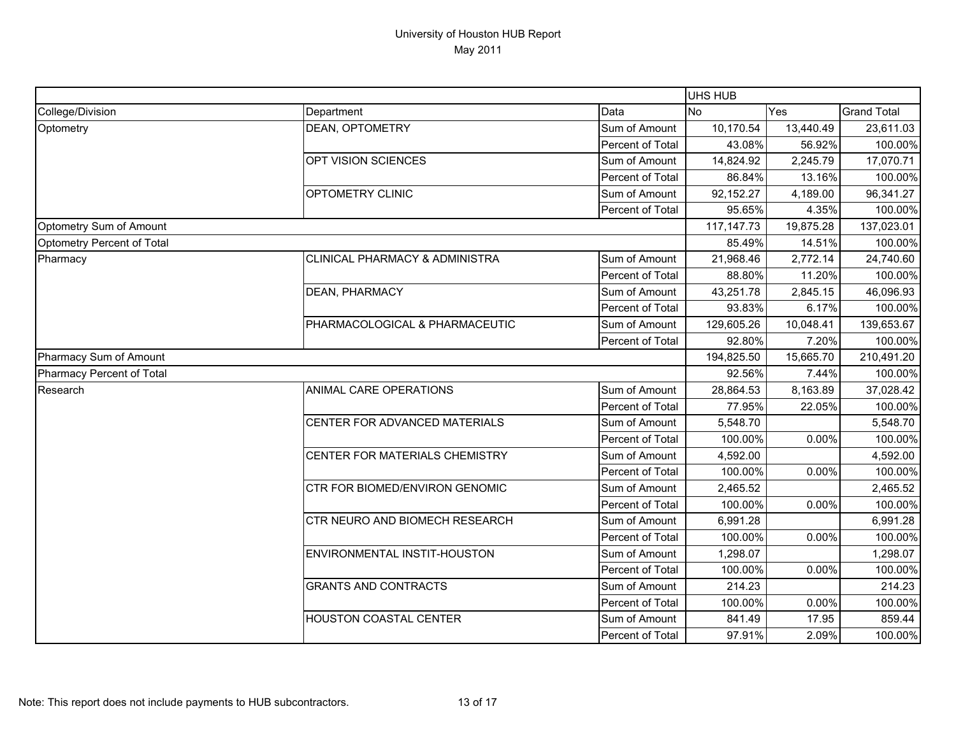|                            |                                |                  | UHS HUB      |            |                    |
|----------------------------|--------------------------------|------------------|--------------|------------|--------------------|
| College/Division           | Department                     | Data             | <b>No</b>    | Yes        | <b>Grand Total</b> |
| Optometry                  | DEAN, OPTOMETRY                | Sum of Amount    | 10,170.54    | 13,440.49  | 23,611.03          |
|                            |                                | Percent of Total | 43.08%       | 56.92%     | 100.00%            |
|                            | OPT VISION SCIENCES            | Sum of Amount    | 14,824.92    | 2,245.79   | 17,070.71          |
|                            |                                | Percent of Total | 86.84%       | 13.16%     | 100.00%            |
|                            | OPTOMETRY CLINIC               | Sum of Amount    | 92,152.27    | 4,189.00   | 96,341.27          |
|                            |                                | Percent of Total | 95.65%       | 4.35%      | 100.00%            |
| Optometry Sum of Amount    |                                |                  | 117, 147. 73 | 19,875.28  | 137,023.01         |
| Optometry Percent of Total |                                |                  | 85.49%       | 14.51%     | 100.00%            |
| Pharmacy                   | CLINICAL PHARMACY & ADMINISTRA | Sum of Amount    | 21,968.46    | 2,772.14   | 24,740.60          |
|                            |                                | Percent of Total | 88.80%       | 11.20%     | 100.00%            |
|                            | DEAN, PHARMACY                 | Sum of Amount    | 43,251.78    | 2,845.15   | 46,096.93          |
|                            |                                | Percent of Total | 93.83%       | 6.17%      | 100.00%            |
|                            | PHARMACOLOGICAL & PHARMACEUTIC | Sum of Amount    | 129,605.26   | 10,048.41  | 139,653.67         |
|                            |                                | Percent of Total | 92.80%       | 7.20%      | 100.00%            |
| Pharmacy Sum of Amount     |                                | 194,825.50       | 15,665.70    | 210,491.20 |                    |
| Pharmacy Percent of Total  |                                |                  | 92.56%       | 7.44%      | 100.00%            |
| Research                   | ANIMAL CARE OPERATIONS         | Sum of Amount    | 28,864.53    | 8,163.89   | 37,028.42          |
|                            |                                | Percent of Total | 77.95%       | 22.05%     | 100.00%            |
|                            | CENTER FOR ADVANCED MATERIALS  | Sum of Amount    | 5,548.70     |            | 5,548.70           |
|                            |                                | Percent of Total | 100.00%      | 0.00%      | 100.00%            |
|                            | CENTER FOR MATERIALS CHEMISTRY | Sum of Amount    | 4,592.00     |            | 4,592.00           |
|                            |                                | Percent of Total | 100.00%      | 0.00%      | 100.00%            |
|                            | CTR FOR BIOMED/ENVIRON GENOMIC | Sum of Amount    | 2,465.52     |            | 2,465.52           |
|                            |                                | Percent of Total | 100.00%      | 0.00%      | 100.00%            |
|                            | CTR NEURO AND BIOMECH RESEARCH | Sum of Amount    | 6,991.28     |            | 6,991.28           |
|                            |                                | Percent of Total | 100.00%      | 0.00%      | 100.00%            |
|                            | ENVIRONMENTAL INSTIT-HOUSTON   | Sum of Amount    | 1,298.07     |            | 1,298.07           |
|                            |                                | Percent of Total | 100.00%      | 0.00%      | 100.00%            |
|                            | <b>GRANTS AND CONTRACTS</b>    | Sum of Amount    | 214.23       |            | 214.23             |
|                            |                                | Percent of Total | 100.00%      | 0.00%      | 100.00%            |
|                            | HOUSTON COASTAL CENTER         | Sum of Amount    | 841.49       | 17.95      | 859.44             |
|                            |                                | Percent of Total | 97.91%       | 2.09%      | 100.00%            |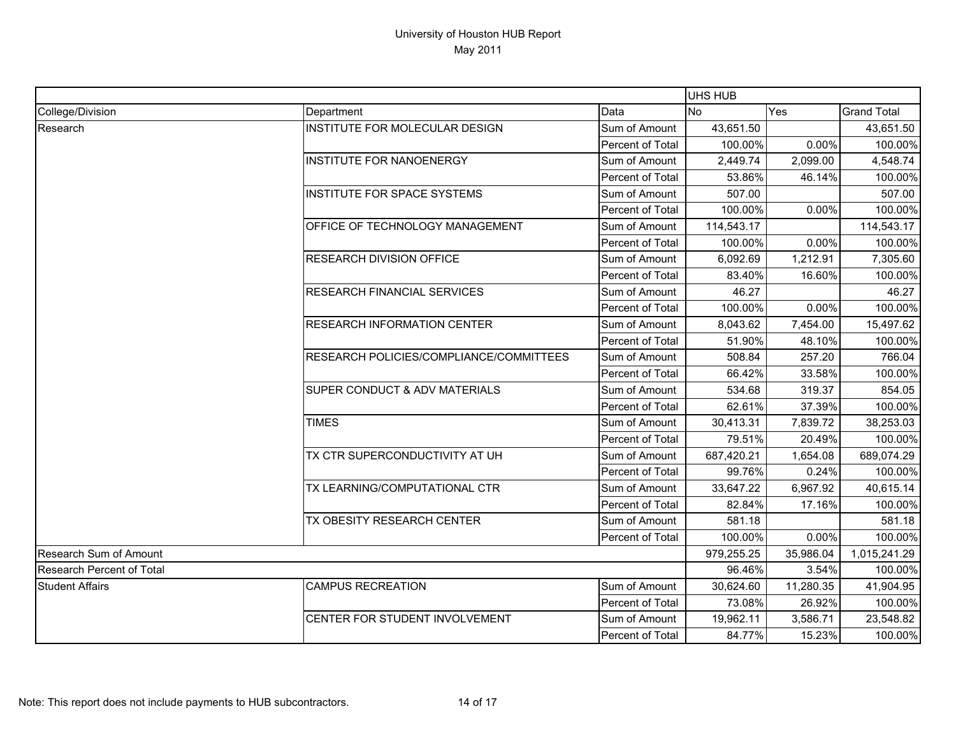|                                  |                                         |                         |            | <b>UHS HUB</b> |                    |  |  |
|----------------------------------|-----------------------------------------|-------------------------|------------|----------------|--------------------|--|--|
| College/Division                 | Department                              | Data                    | <b>No</b>  | Yes            | <b>Grand Total</b> |  |  |
| Research                         | INSTITUTE FOR MOLECULAR DESIGN          | Sum of Amount           | 43,651.50  |                | 43,651.50          |  |  |
|                                  |                                         | Percent of Total        | 100.00%    | 0.00%          | 100.00%            |  |  |
|                                  | INSTITUTE FOR NANOENERGY                | Sum of Amount           | 2,449.74   | 2,099.00       | 4,548.74           |  |  |
|                                  |                                         | Percent of Total        | 53.86%     | 46.14%         | 100.00%            |  |  |
|                                  | INSTITUTE FOR SPACE SYSTEMS             | Sum of Amount           | 507.00     |                | 507.00             |  |  |
|                                  |                                         | <b>Percent of Total</b> | 100.00%    | 0.00%          | 100.00%            |  |  |
|                                  | OFFICE OF TECHNOLOGY MANAGEMENT         | Sum of Amount           | 114,543.17 |                | 114,543.17         |  |  |
|                                  |                                         | Percent of Total        | 100.00%    | 0.00%          | 100.00%            |  |  |
|                                  | <b>RESEARCH DIVISION OFFICE</b>         | Sum of Amount           | 6,092.69   | 1,212.91       | 7,305.60           |  |  |
|                                  |                                         | Percent of Total        | 83.40%     | 16.60%         | 100.00%            |  |  |
|                                  | <b>RESEARCH FINANCIAL SERVICES</b>      | Sum of Amount           | 46.27      |                | 46.27              |  |  |
|                                  |                                         | <b>Percent of Total</b> | 100.00%    | 0.00%          | 100.00%            |  |  |
|                                  | <b>RESEARCH INFORMATION CENTER</b>      | Sum of Amount           | 8,043.62   | 7,454.00       | 15,497.62          |  |  |
|                                  |                                         | Percent of Total        | 51.90%     | 48.10%         | 100.00%            |  |  |
|                                  | RESEARCH POLICIES/COMPLIANCE/COMMITTEES | Sum of Amount           | 508.84     | 257.20         | 766.04             |  |  |
|                                  |                                         | <b>Percent of Total</b> | 66.42%     | 33.58%         | 100.00%            |  |  |
|                                  | SUPER CONDUCT & ADV MATERIALS           | Sum of Amount           | 534.68     | 319.37         | 854.05             |  |  |
|                                  |                                         | Percent of Total        | 62.61%     | 37.39%         | 100.00%            |  |  |
|                                  | <b>TIMES</b>                            | Sum of Amount           | 30,413.31  | 7,839.72       | 38,253.03          |  |  |
|                                  |                                         | Percent of Total        | 79.51%     | 20.49%         | 100.00%            |  |  |
|                                  | TX CTR SUPERCONDUCTIVITY AT UH          | Sum of Amount           | 687,420.21 | 1,654.08       | 689,074.29         |  |  |
|                                  |                                         | Percent of Total        | 99.76%     | 0.24%          | 100.00%            |  |  |
|                                  | TX LEARNING/COMPUTATIONAL CTR           | Sum of Amount           | 33,647.22  | 6,967.92       | 40,615.14          |  |  |
|                                  |                                         | Percent of Total        | 82.84%     | 17.16%         | 100.00%            |  |  |
|                                  | TX OBESITY RESEARCH CENTER              | Sum of Amount           | 581.18     |                | 581.18             |  |  |
|                                  |                                         | <b>Percent of Total</b> | 100.00%    | 0.00%          | 100.00%            |  |  |
| Research Sum of Amount           |                                         | 979,255.25              | 35,986.04  | 1,015,241.29   |                    |  |  |
| <b>Research Percent of Total</b> |                                         | 96.46%                  | 3.54%      | 100.00%        |                    |  |  |
| <b>Student Affairs</b>           | <b>CAMPUS RECREATION</b>                | Sum of Amount           | 30,624.60  | 11,280.35      | 41,904.95          |  |  |
|                                  |                                         | Percent of Total        | 73.08%     | 26.92%         | 100.00%            |  |  |
|                                  | CENTER FOR STUDENT INVOLVEMENT          | Sum of Amount           | 19,962.11  | 3,586.71       | 23,548.82          |  |  |
|                                  |                                         | Percent of Total        | 84.77%     | 15.23%         | 100.00%            |  |  |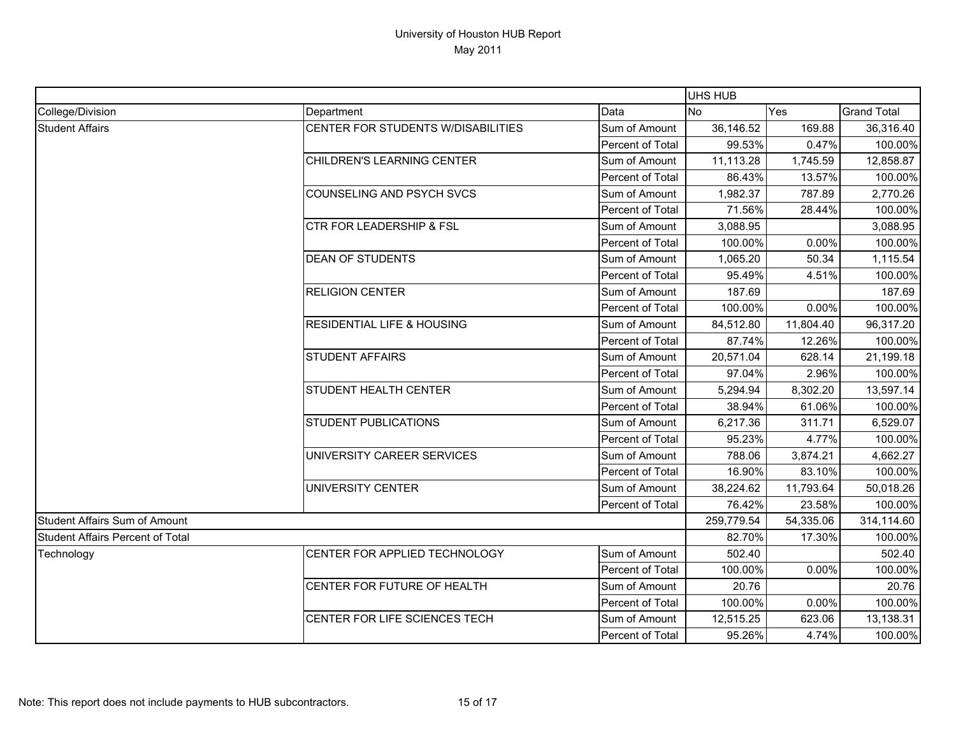|                                         |                                       |                  | UHS HUB   |                                                          |                    |
|-----------------------------------------|---------------------------------------|------------------|-----------|----------------------------------------------------------|--------------------|
| College/Division                        | Department                            | Data             | <b>No</b> | Yes                                                      | <b>Grand Total</b> |
| <b>Student Affairs</b>                  | CENTER FOR STUDENTS W/DISABILITIES    | Sum of Amount    | 36,146.52 | 169.88                                                   | 36,316.40          |
|                                         |                                       | Percent of Total | 99.53%    | 0.47%                                                    | 100.00%            |
|                                         | CHILDREN'S LEARNING CENTER            | Sum of Amount    | 11,113.28 | 1,745.59                                                 | 12,858.87          |
|                                         |                                       | Percent of Total | 86.43%    | 13.57%                                                   | 100.00%            |
|                                         | <b>COUNSELING AND PSYCH SVCS</b>      | Sum of Amount    | 1,982.37  | 787.89                                                   | 2,770.26           |
|                                         |                                       | Percent of Total | 71.56%    | 28.44%                                                   | 100.00%            |
|                                         | <b>CTR FOR LEADERSHIP &amp; FSL</b>   | Sum of Amount    | 3,088.95  |                                                          | 3,088.95           |
|                                         |                                       | Percent of Total | 100.00%   | 0.00%                                                    | 100.00%            |
|                                         | <b>DEAN OF STUDENTS</b>               | Sum of Amount    | 1,065.20  | 50.34                                                    | 1,115.54           |
|                                         |                                       | Percent of Total | 95.49%    | 4.51%                                                    | 100.00%            |
|                                         | <b>RELIGION CENTER</b>                | Sum of Amount    | 187.69    |                                                          | 187.69             |
|                                         |                                       | Percent of Total | 100.00%   | 0.00%                                                    | 100.00%            |
|                                         | <b>RESIDENTIAL LIFE &amp; HOUSING</b> | Sum of Amount    | 84,512.80 | 11,804.40                                                | 96,317.20          |
|                                         |                                       | Percent of Total | 87.74%    |                                                          | 100.00%            |
|                                         | <b>STUDENT AFFAIRS</b>                | Sum of Amount    | 20,571.04 | 628.14                                                   | 21,199.18          |
|                                         |                                       | Percent of Total | 97.04%    |                                                          | 100.00%            |
|                                         | STUDENT HEALTH CENTER                 | Sum of Amount    | 5,294.94  | 8,302.20                                                 | 13,597.14          |
|                                         |                                       | Percent of Total | 38.94%    | 12.26%<br>2.96%<br>61.06%<br>311.71<br>4.77%<br>3,874.21 | 100.00%            |
|                                         | <b>STUDENT PUBLICATIONS</b>           | Sum of Amount    | 6,217.36  |                                                          | 6,529.07           |
|                                         |                                       | Percent of Total | 95.23%    |                                                          | 100.00%            |
|                                         | UNIVERSITY CAREER SERVICES            | Sum of Amount    | 788.06    |                                                          | 4,662.27           |
|                                         |                                       | Percent of Total | 16.90%    | 83.10%                                                   | 100.00%            |
|                                         | UNIVERSITY CENTER                     | Sum of Amount    | 38,224.62 | 11,793.64                                                | 50,018.26          |
|                                         |                                       | Percent of Total | 76.42%    | 23.58%                                                   | 100.00%            |
| <b>Student Affairs Sum of Amount</b>    |                                       | 259,779.54       | 54,335.06 | 314,114.60                                               |                    |
| <b>Student Affairs Percent of Total</b> |                                       | 82.70%           | 17.30%    | 100.00%                                                  |                    |
| Technology                              | CENTER FOR APPLIED TECHNOLOGY         | Sum of Amount    | 502.40    |                                                          | 502.40             |
|                                         |                                       | Percent of Total | 100.00%   | 0.00%                                                    | 100.00%            |
|                                         | CENTER FOR FUTURE OF HEALTH           | Sum of Amount    | 20.76     |                                                          | 20.76              |
|                                         |                                       | Percent of Total | 100.00%   | 0.00%                                                    | 100.00%            |
|                                         | CENTER FOR LIFE SCIENCES TECH         | Sum of Amount    | 12,515.25 | 623.06                                                   | 13,138.31          |
|                                         |                                       | Percent of Total | 95.26%    | 4.74%                                                    | 100.00%            |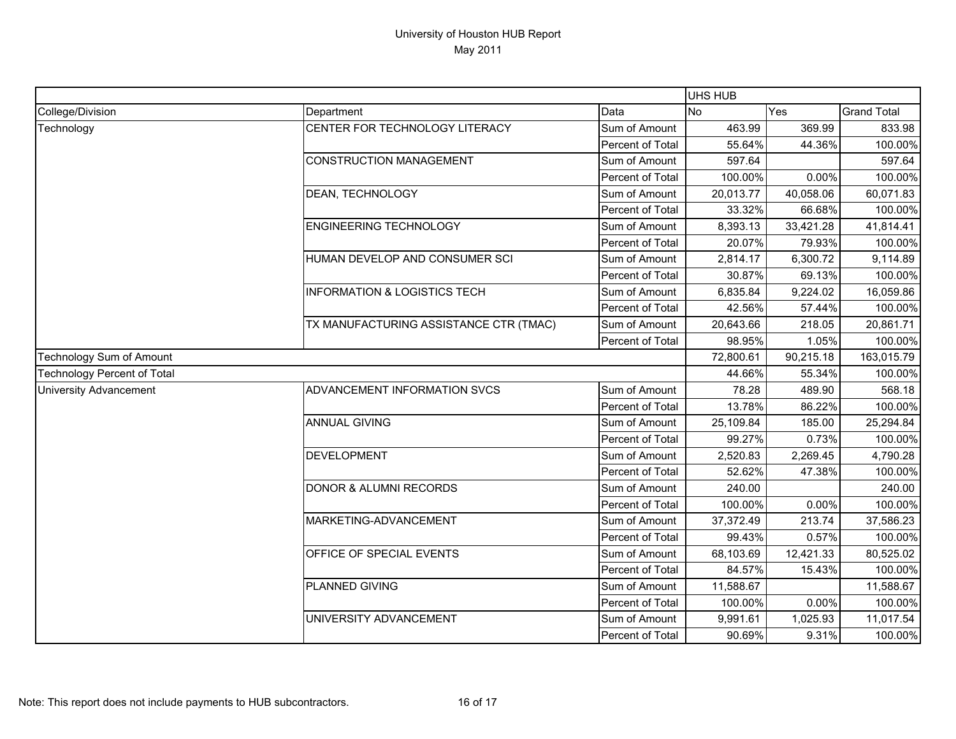|                                    |                                         |                  | UHS HUB   |            |                    |
|------------------------------------|-----------------------------------------|------------------|-----------|------------|--------------------|
| College/Division                   | Department                              | Data             | No        | Yes        | <b>Grand Total</b> |
| Technology                         | CENTER FOR TECHNOLOGY LITERACY          | Sum of Amount    | 463.99    | 369.99     | 833.98             |
|                                    |                                         | Percent of Total | 55.64%    | 44.36%     | 100.00%            |
|                                    | <b>CONSTRUCTION MANAGEMENT</b>          | Sum of Amount    | 597.64    |            | 597.64             |
|                                    |                                         | Percent of Total | 100.00%   | 0.00%      | 100.00%            |
|                                    | DEAN, TECHNOLOGY                        | Sum of Amount    | 20,013.77 | 40,058.06  | 60,071.83          |
|                                    |                                         | Percent of Total | 33.32%    | 66.68%     | 100.00%            |
|                                    | <b>ENGINEERING TECHNOLOGY</b>           | Sum of Amount    | 8,393.13  | 33,421.28  | 41,814.41          |
|                                    |                                         | Percent of Total | 20.07%    | 79.93%     | 100.00%            |
|                                    | HUMAN DEVELOP AND CONSUMER SCI          | Sum of Amount    | 2,814.17  | 6,300.72   | 9,114.89           |
|                                    |                                         | Percent of Total | 30.87%    | 69.13%     | 100.00%            |
|                                    | <b>INFORMATION &amp; LOGISTICS TECH</b> | Sum of Amount    | 6,835.84  | 9,224.02   | 16,059.86          |
|                                    |                                         | Percent of Total | 42.56%    | 57.44%     | 100.00%            |
|                                    | TX MANUFACTURING ASSISTANCE CTR (TMAC)  | Sum of Amount    | 20,643.66 | 218.05     | 20,861.71          |
|                                    |                                         | Percent of Total | 98.95%    | 1.05%      | 100.00%            |
| Technology Sum of Amount           |                                         | 72,800.61        | 90,215.18 | 163,015.79 |                    |
| <b>Technology Percent of Total</b> |                                         |                  | 44.66%    | 55.34%     | 100.00%            |
| <b>University Advancement</b>      | ADVANCEMENT INFORMATION SVCS            | Sum of Amount    | 78.28     | 489.90     | 568.18             |
|                                    |                                         | Percent of Total | 13.78%    | 86.22%     | 100.00%            |
|                                    | <b>ANNUAL GIVING</b>                    | Sum of Amount    | 25,109.84 | 185.00     | 25,294.84          |
|                                    |                                         | Percent of Total | 99.27%    | 0.73%      | 100.00%            |
|                                    | <b>DEVELOPMENT</b>                      | Sum of Amount    | 2,520.83  | 2,269.45   | 4,790.28           |
|                                    |                                         | Percent of Total | 52.62%    | 47.38%     | 100.00%            |
|                                    | <b>DONOR &amp; ALUMNI RECORDS</b>       | Sum of Amount    | 240.00    |            | 240.00             |
|                                    |                                         | Percent of Total | 100.00%   | 0.00%      | 100.00%            |
|                                    | MARKETING-ADVANCEMENT                   | Sum of Amount    | 37,372.49 | 213.74     | 37,586.23          |
|                                    |                                         | Percent of Total | 99.43%    | 0.57%      | 100.00%            |
|                                    | OFFICE OF SPECIAL EVENTS                | Sum of Amount    | 68,103.69 | 12,421.33  | 80,525.02          |
|                                    |                                         | Percent of Total | 84.57%    | 15.43%     | 100.00%            |
|                                    | PLANNED GIVING                          | Sum of Amount    | 11,588.67 |            | 11,588.67          |
|                                    |                                         | Percent of Total | 100.00%   | 0.00%      | 100.00%            |
|                                    | UNIVERSITY ADVANCEMENT                  | Sum of Amount    | 9,991.61  | 1,025.93   | 11,017.54          |
|                                    |                                         | Percent of Total | 90.69%    | 9.31%      | 100.00%            |